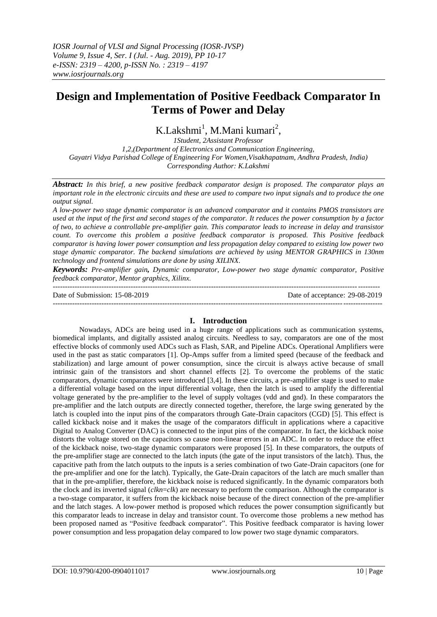# **Design and Implementation of Positive Feedback Comparator In Terms of Power and Delay**

K.Lakshmi<sup>1</sup>, M.Mani kumari<sup>2</sup>,

*1Student, 2Assistant Professor 1,2,(Department of Electronics and Communication Engineering, Gayatri Vidya Parishad College of Engineering For Women,Visakhapatnam, Andhra Pradesh, India) Corresponding Author: K.Lakshmi*

*Abstract: In this brief, a new positive feedback comparator design is proposed. The comparator plays an important role in the electronic circuits and these are used to compare two input signals and to produce the one output signal.*

*A low-power two stage dynamic comparator is an advanced comparator and it contains PMOS transistors are used at the input of the first and second stages of the comparator. It reduces the power consumption by a factor of two, to achieve a controllable pre-amplifier gain. This comparator leads to increase in delay and transistor count. To overcome this problem a positive feedback comparator is proposed. This Positive feedback comparator is having lower power consumption and less propagation delay compared to existing low power two stage dynamic comparator. The backend simulations are achieved by using MENTOR GRAPHICS in 130nm technology and frontend simulations are done by using XILINX.*

*Keywords: Pre-amplifier gain, Dynamic comparator, Low-power two stage dynamic comparator, Positive feedback comparator, Mentor graphics, Xilinx.*

-------------------------------------------------------------------------------------------------------------------------------------- Date of Submission: 15-08-2019 Date of acceptance: 29-08-2019 ---------------------------------------------------------------------------------------------------------------------------------------

## **I. Introduction**

Nowadays, ADCs are being used in a huge range of applications such as communication systems, biomedical implants, and digitally assisted analog circuits. Needless to say, comparators are one of the most effective blocks of commonly used ADCs such as Flash, SAR, and Pipeline ADCs. Operational Amplifiers were used in the past as static comparators [1]. Op-Amps suffer from a limited speed (because of the feedback and stabilization) and large amount of power consumption, since the circuit is always active because of small intrinsic gain of the transistors and short channel effects [2]. To overcome the problems of the static comparators, dynamic comparators were introduced [3,4]. In these circuits, a pre-amplifier stage is used to make a differential voltage based on the input differential voltage, then the latch is used to amplify the differential voltage generated by the pre-amplifier to the level of supply voltages (vdd and gnd). In these comparators the pre-amplifier and the latch outputs are directly connected together, therefore, the large swing generated by the latch is coupled into the input pins of the comparators through Gate-Drain capacitors (CGD) [5]. This effect is called kickback noise and it makes the usage of the comparators difficult in applications where a capacitive Digital to Analog Converter (DAC) is connected to the input pins of the comparator. In fact, the kickback noise distorts the voltage stored on the capacitors so cause non-linear errors in an ADC. In order to reduce the effect of the kickback noise, two-stage dynamic comparators were proposed [5]. In these comparators, the outputs of the pre-amplifier stage are connected to the latch inputs (the gate of the input transistors of the latch). Thus, the capacitive path from the latch outputs to the inputs is a series combination of two Gate-Drain capacitors (one for the pre-amplifier and one for the latch). Typically, the Gate-Drain capacitors of the latch are much smaller than that in the pre-amplifier, therefore, the kickback noise is reduced significantly. In the dynamic comparators both the clock and its inverted signal (*clkn*=*clk*) are necessary to perform the comparison. Although the comparator is a two-stage comparator, it suffers from the kickback noise because of the direct connection of the pre-amplifier and the latch stages. A low-power method is proposed which reduces the power consumption significantly but this comparator leads to increase in delay and transistor count. To overcome those problems a new method has been proposed named as "Positive feedback comparator". This Positive feedback comparator is having lower power consumption and less propagation delay compared to low power two stage dynamic comparators.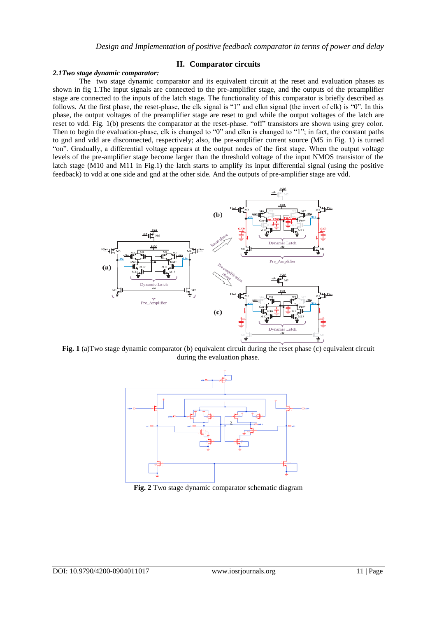## **II. Comparator circuits**

## *2.1Two stage dynamic comparator:*

The two stage dynamic comparator and its equivalent circuit at the reset and evaluation phases as shown in fig 1.The input signals are connected to the pre-amplifier stage, and the outputs of the preamplifier stage are connected to the inputs of the latch stage. The functionality of this comparator is briefly described as follows. At the first phase, the reset-phase, the clk signal is "1" and clkn signal (the invert of clk) is "0". In this phase, the output voltages of the preamplifier stage are reset to gnd while the output voltages of the latch are reset to vdd. Fig. 1(b) presents the comparator at the reset-phase. "off" transistors are shown using grey color. Then to begin the evaluation-phase, clk is changed to "0" and clkn is changed to "1"; in fact, the constant paths to gnd and vdd are disconnected, respectively; also, the pre-amplifier current source (M5 in Fig. 1) is turned "on". Gradually, a differential voltage appears at the output nodes of the first stage. When the output voltage levels of the pre-amplifier stage become larger than the threshold voltage of the input NMOS transistor of the latch stage (M10 and M11 in Fig.1) the latch starts to amplify its input differential signal (using the positive feedback) to vdd at one side and gnd at the other side. And the outputs of pre-amplifier stage are vdd.



**Fig. 1** (a)Two stage dynamic comparator (b) equivalent circuit during the reset phase (c) equivalent circuit during the evaluation phase.



**Fig. 2** Two stage dynamic comparator schematic diagram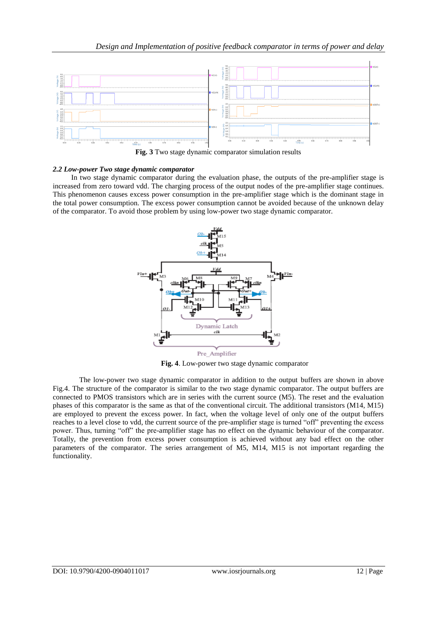

**Fig. 3** Two stage dynamic comparator simulation results

## *2.2 Low-power Two stage dynamic comparator*

 In two stage dynamic comparator during the evaluation phase, the outputs of the pre-amplifier stage is increased from zero toward vdd. The charging process of the output nodes of the pre-amplifier stage continues. This phenomenon causes excess power consumption in the pre-amplifier stage which is the dominant stage in the total power consumption. The excess power consumption cannot be avoided because of the unknown delay of the comparator. To avoid those problem by using low-power two stage dynamic comparator.



**Fig. 4**. Low-power two stage dynamic comparator

The low-power two stage dynamic comparator in addition to the output buffers are shown in above Fig.4. The structure of the comparator is similar to the two stage dynamic comparator. The output buffers are connected to PMOS transistors which are in series with the current source (M5). The reset and the evaluation phases of this comparator is the same as that of the conventional circuit. The additional transistors (M14, M15) are employed to prevent the excess power. In fact, when the voltage level of only one of the output buffers reaches to a level close to vdd, the current source of the pre-amplifier stage is turned "off" preventing the excess power. Thus, turning "off" the pre-amplifier stage has no effect on the dynamic behaviour of the comparator. Totally, the prevention from excess power consumption is achieved without any bad effect on the other parameters of the comparator. The series arrangement of M5, M14, M15 is not important regarding the functionality.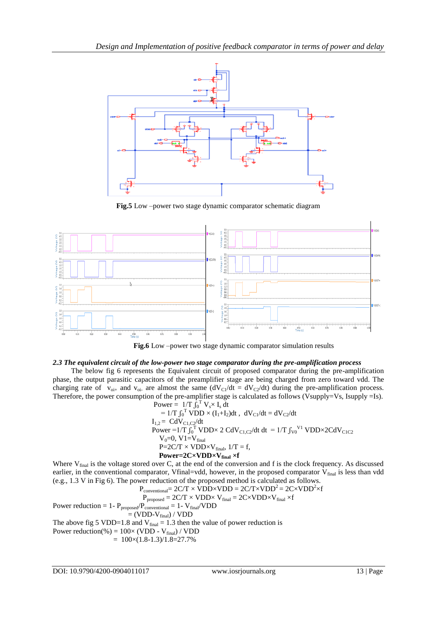

**Fig.5** Low –power two stage dynamic comparator schematic diagram



 **Fig.6** Low –power two stage dynamic comparator simulation results

### *2.3 The equivalent circuit of the low-power two stage comparator during the pre-amplification process*

 The below fig 6 represents the Equivalent circuit of proposed comparator during the pre-amplification phase, the output parasitic capacitors of the preamplifier stage are being charged from zero toward vdd. The charging rate of  $v_{oi+}$  and  $v_{oi-}$  are almost the same  $(dV_{C1}/dt = dV_{C2}/dt)$  during the pre-amplification process. Therefore, the power consumption of the pre-amplifier stage is calculated as follows (Vsupply=Vs, Isupply =Is). Power =  $1/T \int_0^T V_s \times I_s dt$ 

$$
= 1/T \int_0^T VDD \times (I_1 + I_2) dt, dV_{C1}/dt = dV_{C2}/dt
$$
  
\n
$$
= 1/T \int_0^T VDD \times (I_1 + I_2) dt, dV_{C1}/dt = dV_{C2}/dt
$$
  
\n
$$
I_{1,2} = CdV_{C1,C2}/dt
$$
  
\nPower =  $1/T \int_0^T VDD \times 2 CdV_{C1,C2}/dt dt = 1/T \int_{V0}^{V1} VDD \times 2CdV_{C1,C2}$   
\n
$$
V_0=0, V1=V_{final}
$$
  
\n
$$
P=2C/T \times VDD \times V_{final}, 1/T = f,
$$
  
\nPower =  $2C \times VDD \times V_{final} \times f$ 

Where  $V_{final}$  is the voltage stored over C, at the end of the conversion and f is the clock frequency. As discussed earlier, in the conventional comparator, Vfinal=vdd, however, in the proposed comparator  $V_{final}$  is less than vdd (e.g., 1.3 V in Fig 6). The power reduction of the proposed method is calculated as follows.

$$
P_{conventional} = 2C/T \times VDD \times VDD = 2C/T \times VDD^{2} = 2C \times VDD^{2} \times f
$$
  
\n
$$
P_{proposed} = 2C/T \times VDD \times V_{final} = 2C \times VDD \times V_{final} \times f
$$
  
\n
$$
P_{proposed}/P_{conventional} = 1 - V_{final}/VDD
$$

Power reduction = 1- 
$$
P_{\text{proposed}}/P_{\text{conventional}} = 1
$$
-  $V_{\text{fir}}$   
= (VDD-V<sub>final</sub>) / VDD

The above fig 5 VDD=1.8 and  $V<sub>final</sub> = 1.3$  then the value of power reduction is

Power reduction(%) =  $100 \times (VDD - V_{final}) / VDD$ 

$$
= 100 \times (1.8-1.3)/1.8=27.7\%
$$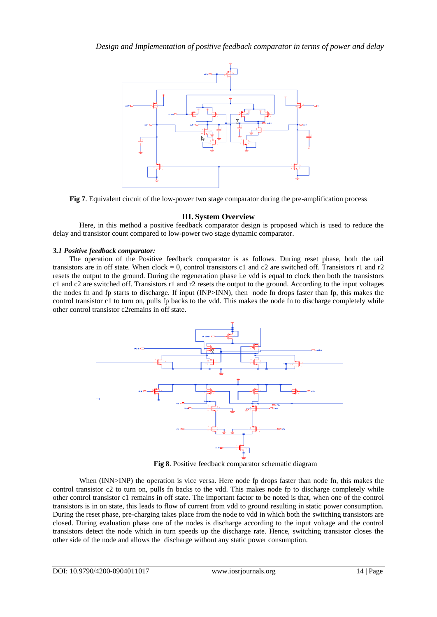

**Fig 7**. Equivalent circuit of the low-power two stage comparator during the pre-amplification process

## **III. System Overview**

Here, in this method a positive feedback comparator design is proposed which is used to reduce the delay and transistor count compared to low-power two stage dynamic comparator.

## *3.1 Positive feedback comparator:*

 The operation of the Positive feedback comparator is as follows. During reset phase, both the tail transistors are in off state. When clock = 0, control transistors c1 and c2 are switched off. Transistors r1 and r2 resets the output to the ground. During the regeneration phase i.e vdd is equal to clock then both the transistors c1 and c2 are switched off. Transistors r1 and r2 resets the output to the ground. According to the input voltages the nodes fn and fp starts to discharge. If input (INP>INN), then node fn drops faster than fp, this makes the control transistor c1 to turn on, pulls fp backs to the vdd. This makes the node fn to discharge completely while other control transistor c2remains in off state.



 **Fig 8**. Positive feedback comparator schematic diagram

When (INN>INP) the operation is vice versa. Here node fp drops faster than node fn, this makes the control transistor c2 to turn on, pulls fn backs to the vdd. This makes node fp to discharge completely while other control transistor c1 remains in off state. The important factor to be noted is that, when one of the control transistors is in on state, this leads to flow of current from vdd to ground resulting in static power consumption. During the reset phase, pre-charging takes place from the node to vdd in which both the switching transistors are closed. During evaluation phase one of the nodes is discharge according to the input voltage and the control transistors detect the node which in turn speeds up the discharge rate. Hence, switching transistor closes the other side of the node and allows the discharge without any static power consumption.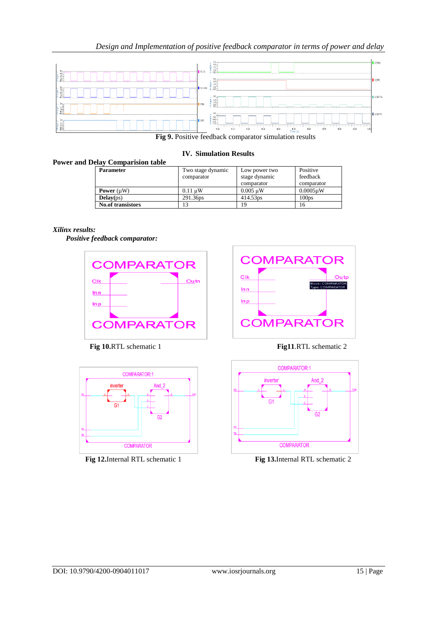## *Design and Implementation of positive feedback comparator in terms of power and delay*



**Fig 9.** Positive feedback comparator simulation results

### **IV. Simulation Results**

### **Power and Delay Comparision table**

| <b>Parameter</b>         | Two stage dynamic<br>comparator | Low power two<br>stage dynamic<br>comparator | Positive<br>feedback<br>comparator |
|--------------------------|---------------------------------|----------------------------------------------|------------------------------------|
| <b>Power</b> $(\mu W)$   | $0.11 \text{ uW}$               | $0.005 \text{ uW}$                           | $0.0005$ uW                        |
| Delay(ps)                | 291.36ps                        | 414.53ps                                     | 100 <sub>DS</sub>                  |
| <b>No.of transistors</b> |                                 | 19                                           | 16                                 |

## *Xilinx results:*

*Positive feedback comparator:*



**Fig 10.**RTL schematic 1 **Fig11**.RTL schematic 2



**Fig 12.**Internal RTL schematic 1 **Fig 13.**Internal RTL schematic 2



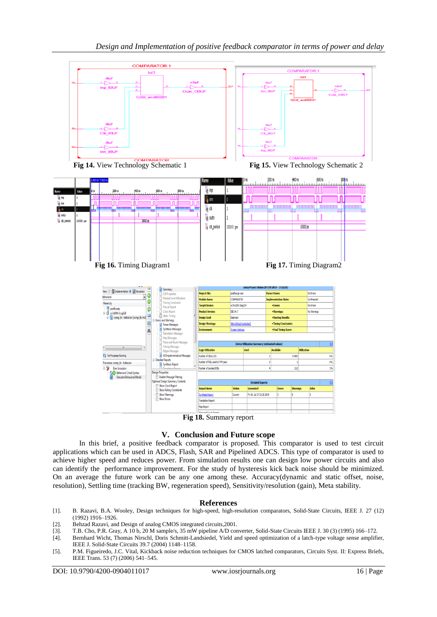



## **V. Conclusion and Future scope**

In this brief, a positive feedback comparator is proposed. This comparator is used to test circuit applications which can be used in ADCS, Flash, SAR and Pipelined ADCS. This type of comparator is used to achieve higher speed and reduces power. From simulation results one can design low power circuits and also can identify the performance improvement. For the study of hysteresis kick back noise should be minimized. On an average the future work can be any one among these. Accuracy(dynamic and static offset, noise, resolution), Settling time (tracking BW, regeneration speed), Sensitivity/resolution (gain), Meta stability.

#### **References**

- [1]. B. Razavi, B.A. Wooley, Design techniques for high-speed, high-resolution comparators, Solid-State Circuits, IEEE J. 27 (12) (1992) 1916–1926.
- [2]. Behzad Razavi, and Design of analog CMOS integrated circuits,2001.
- [3]. T.B. Cho, P.R. Gray, A 10 b, 20 M sample/s, 35 mW pipeline A/D converter, Solid-State Circuits IEEE J. 30 (3) (1995) 166–172.
- [4]. Bernhard Wicht, Thomas Nirschl, Doris Schmitt-Landsiedel, Yield and speed optimization of a latch-type voltage sense amplifier, IEEE J. Solid-State Circuits 39.7 (2004) 1148–1158.
- [5]. P.M. Figueiredo, J.C. Vital, Kickback noise reduction techniques for CMOS latched comparators, Circuits Syst. II: Express Briefs, IEEE Trans. 53 (7) (2006) 541–545.